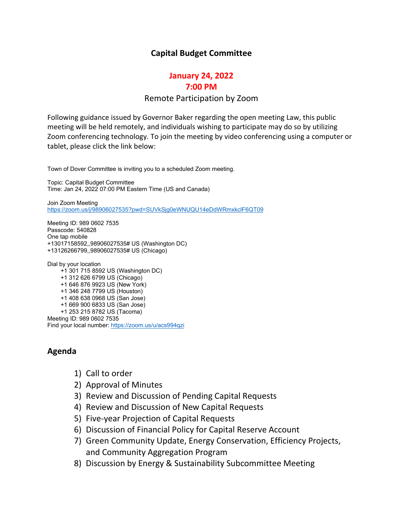#### **Capital Budget Committee**

#### **January 24, 2022 7:00 PM**

### Remote Participation by Zoom

Following guidance issued by Governor Baker regarding the open meeting Law, this public meeting will be held remotely, and individuals wishing to participate may do so by utilizing Zoom conferencing technology. To join the meeting by video conferencing using a computer or tablet, please click the link below:

Town of Dover Committee is inviting you to a scheduled Zoom meeting.

Topic: Capital Budget Committee Time: Jan 24, 2022 07:00 PM Eastern Time (US and Canada)

Join Zoom Meeting <https://zoom.us/j/98906027535?pwd=SUVkSjg0eWNUQU14eDdWRmxkclF6QT09>

Meeting ID: 989 0602 7535 Passcode: 540828 One tap mobile +13017158592,,98906027535# US (Washington DC) +13126266799,,98906027535# US (Chicago)

Dial by your location +1 301 715 8592 US (Washington DC) +1 312 626 6799 US (Chicago) +1 646 876 9923 US (New York) +1 346 248 7799 US (Houston) +1 408 638 0968 US (San Jose) +1 669 900 6833 US (San Jose) +1 253 215 8782 US (Tacoma) Meeting ID: 989 0602 7535 Find your local number: <https://zoom.us/u/acs994qzi>

#### **Agenda**

- 1) Call to order
- 2) Approval of Minutes
- 3) Review and Discussion of Pending Capital Requests
- 4) Review and Discussion of New Capital Requests
- 5) Five-year Projection of Capital Requests
- 6) Discussion of Financial Policy for Capital Reserve Account
- 7) Green Community Update, Energy Conservation, Efficiency Projects, and Community Aggregation Program
- 8) Discussion by Energy & Sustainability Subcommittee Meeting